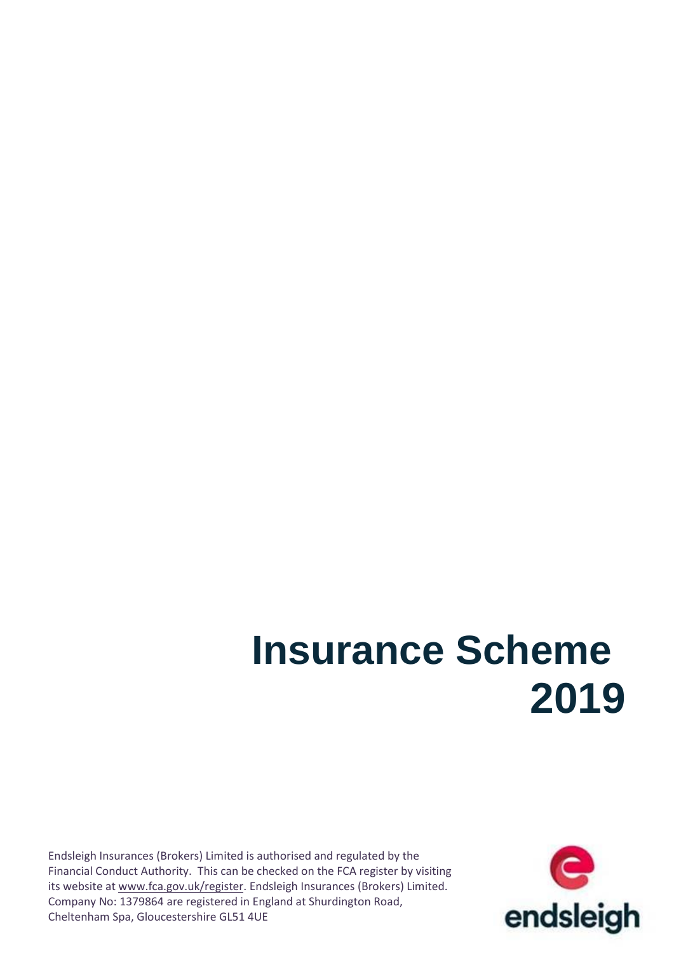# **Insurance Scheme 2019**

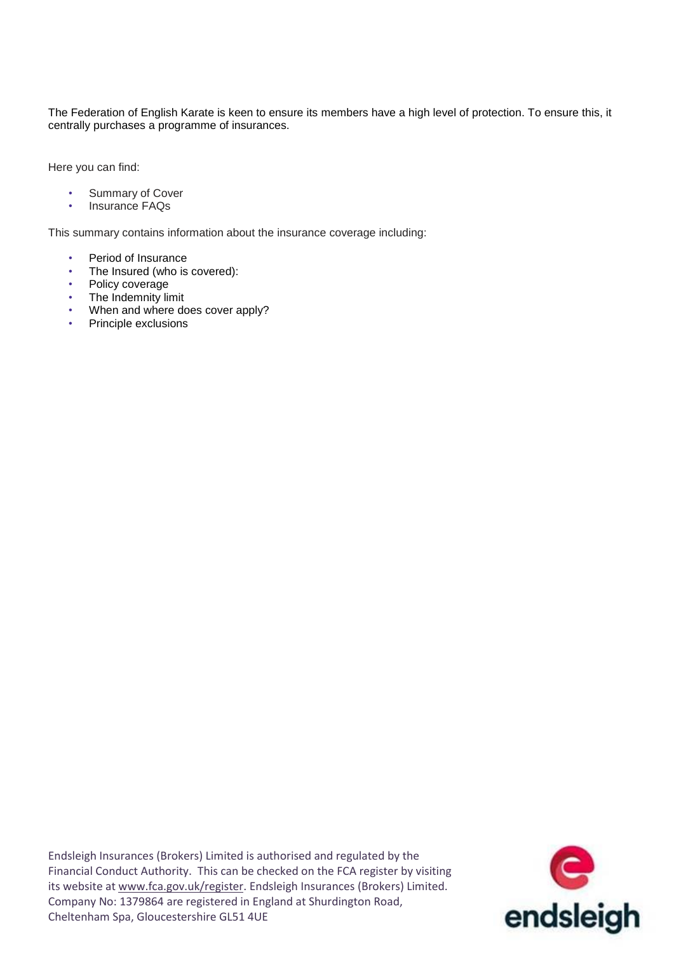The Federation of English Karate is keen to ensure its members have a high level of protection. To ensure this, it centrally purchases a programme of insurances.

Here you can find:

- Summary of Cover
- Insurance FAQs

This summary contains information about the insurance coverage including:

- Period of Insurance
- The Insured (who is covered):
- Policy coverage
- The Indemnity limit
- When and where does cover apply?
- Principle exclusions

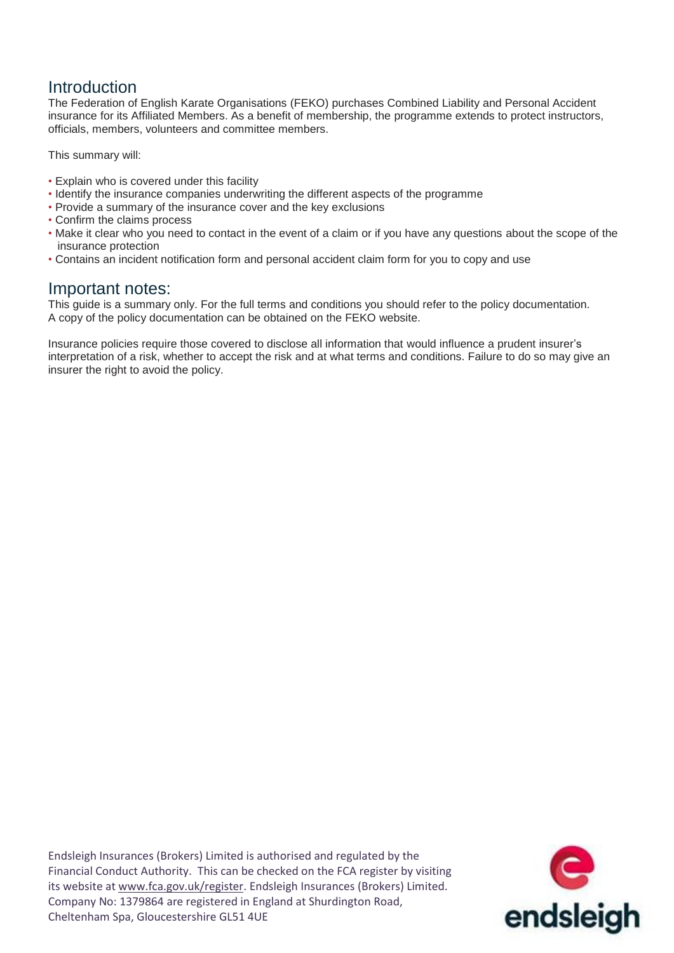## Introduction

The Federation of English Karate Organisations (FEKO) purchases Combined Liability and Personal Accident insurance for its Affiliated Members. As a benefit of membership, the programme extends to protect instructors, officials, members, volunteers and committee members.

This summary will:

- Explain who is covered under this facility
- Identify the insurance companies underwriting the different aspects of the programme
- Provide a summary of the insurance cover and the key exclusions
- Confirm the claims process
- Make it clear who you need to contact in the event of a claim or if you have any questions about the scope of the insurance protection
- Contains an incident notification form and personal accident claim form for you to copy and use

## Important notes:

This guide is a summary only. For the full terms and conditions you should refer to the policy documentation. A copy of the policy documentation can be obtained on the FEKO website.

Insurance policies require those covered to disclose all information that would influence a prudent insurer's interpretation of a risk, whether to accept the risk and at what terms and conditions. Failure to do so may give an insurer the right to avoid the policy.

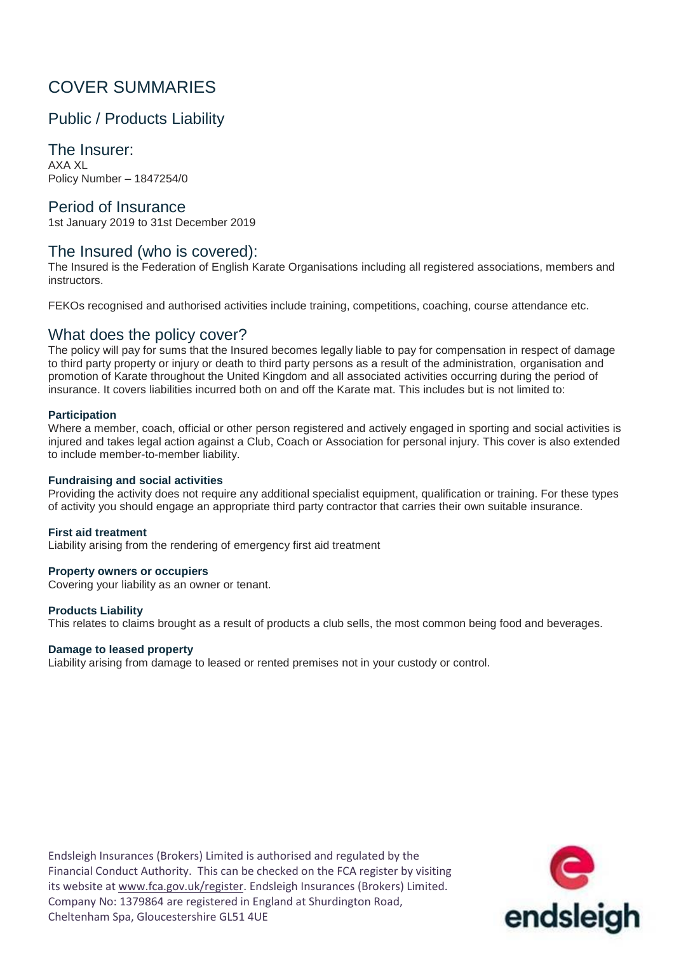# COVER SUMMARIES

## Public / Products Liability

The Insurer: AXA XL Policy Number – 1847254/0

#### Period of Insurance

1st January 2019 to 31st December 2019

#### The Insured (who is covered):

The Insured is the Federation of English Karate Organisations including all registered associations, members and instructors.

FEKOs recognised and authorised activities include training, competitions, coaching, course attendance etc.

#### What does the policy cover?

The policy will pay for sums that the Insured becomes legally liable to pay for compensation in respect of damage to third party property or injury or death to third party persons as a result of the administration, organisation and promotion of Karate throughout the United Kingdom and all associated activities occurring during the period of insurance. It covers liabilities incurred both on and off the Karate mat. This includes but is not limited to:

#### **Participation**

Where a member, coach, official or other person registered and actively engaged in sporting and social activities is injured and takes legal action against a Club, Coach or Association for personal injury. This cover is also extended to include member-to-member liability.

#### **Fundraising and social activities**

Providing the activity does not require any additional specialist equipment, qualification or training. For these types of activity you should engage an appropriate third party contractor that carries their own suitable insurance.

#### **First aid treatment**

Liability arising from the rendering of emergency first aid treatment

#### **Property owners or occupiers**

Covering your liability as an owner or tenant.

#### **Products Liability**

This relates to claims brought as a result of products a club sells, the most common being food and beverages.

#### **Damage to leased property**

Liability arising from damage to leased or rented premises not in your custody or control.

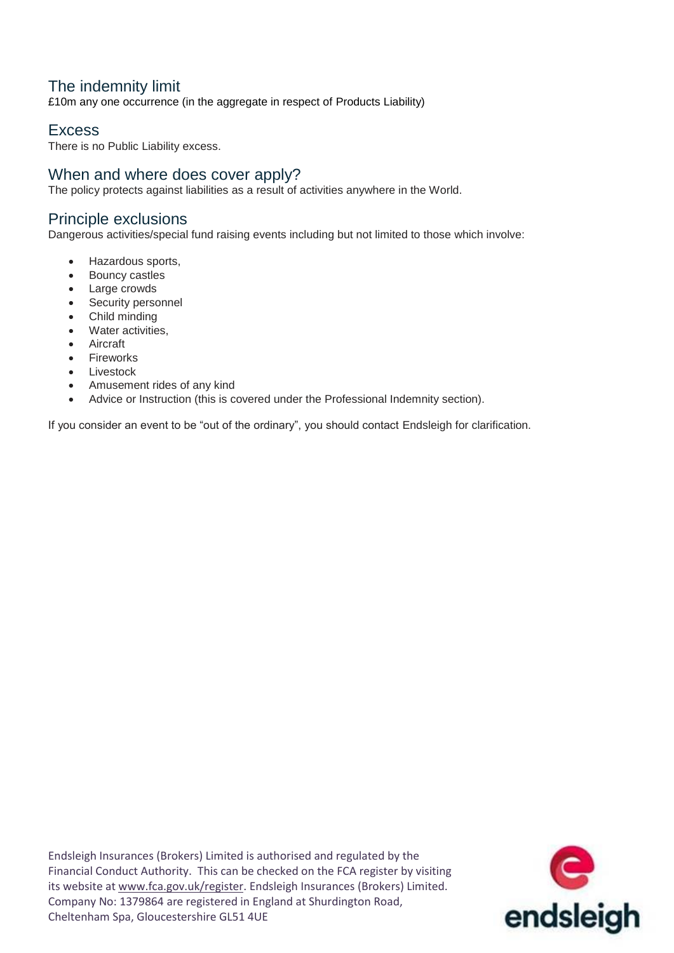## The indemnity limit

£10m any one occurrence (in the aggregate in respect of Products Liability)

## **Excess**

There is no Public Liability excess.

## When and where does cover apply?

The policy protects against liabilities as a result of activities anywhere in the World.

#### Principle exclusions

Dangerous activities/special fund raising events including but not limited to those which involve:

- Hazardous sports,
- Bouncy castles
- Large crowds
- Security personnel
- Child minding
- Water activities,
- Aircraft
- Fireworks
- Livestock
- Amusement rides of any kind
- Advice or Instruction (this is covered under the Professional Indemnity section).

If you consider an event to be "out of the ordinary", you should contact Endsleigh for clarification.

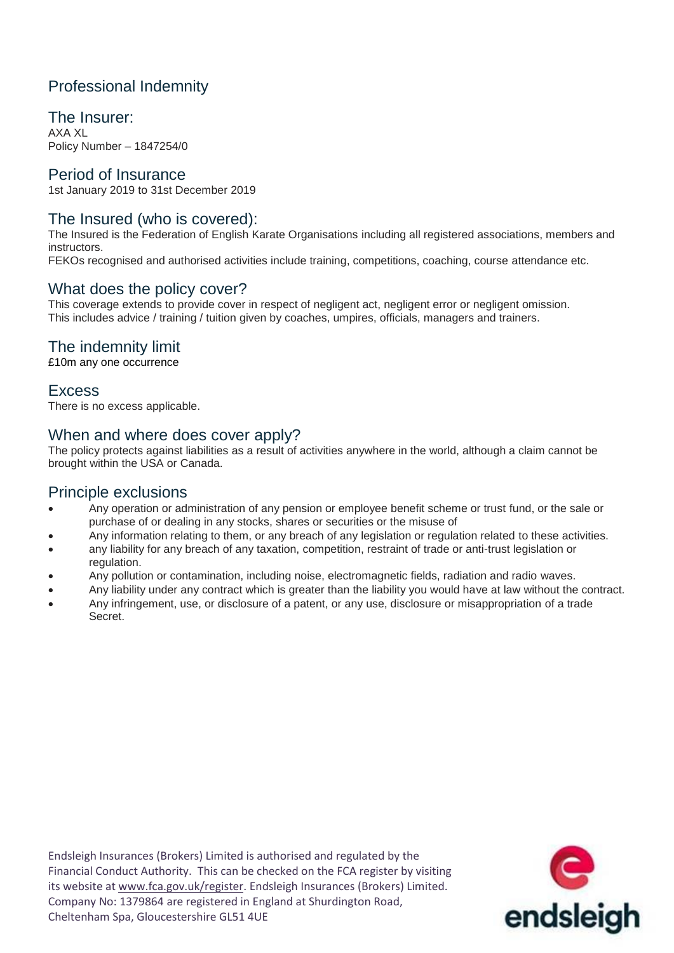## Professional Indemnity

The Insurer: AXA XL Policy Number – 1847254/0

#### Period of Insurance

1st January 2019 to 31st December 2019

#### The Insured (who is covered):

The Insured is the Federation of English Karate Organisations including all registered associations, members and instructors.

FEKOs recognised and authorised activities include training, competitions, coaching, course attendance etc.

### What does the policy cover?

This coverage extends to provide cover in respect of negligent act, negligent error or negligent omission. This includes advice / training / tuition given by coaches, umpires, officials, managers and trainers.

## The indemnity limit

£10m any one occurrence

### **Excess**

There is no excess applicable.

### When and where does cover apply?

The policy protects against liabilities as a result of activities anywhere in the world, although a claim cannot be brought within the USA or Canada.

#### Principle exclusions

- Any operation or administration of any pension or employee benefit scheme or trust fund, or the sale or purchase of or dealing in any stocks, shares or securities or the misuse of
- Any information relating to them, or any breach of any legislation or regulation related to these activities.
- any liability for any breach of any taxation, competition, restraint of trade or anti-trust legislation or regulation.
- Any pollution or contamination, including noise, electromagnetic fields, radiation and radio waves.
- Any liability under any contract which is greater than the liability you would have at law without the contract.
- Any infringement, use, or disclosure of a patent, or any use, disclosure or misappropriation of a trade Secret.

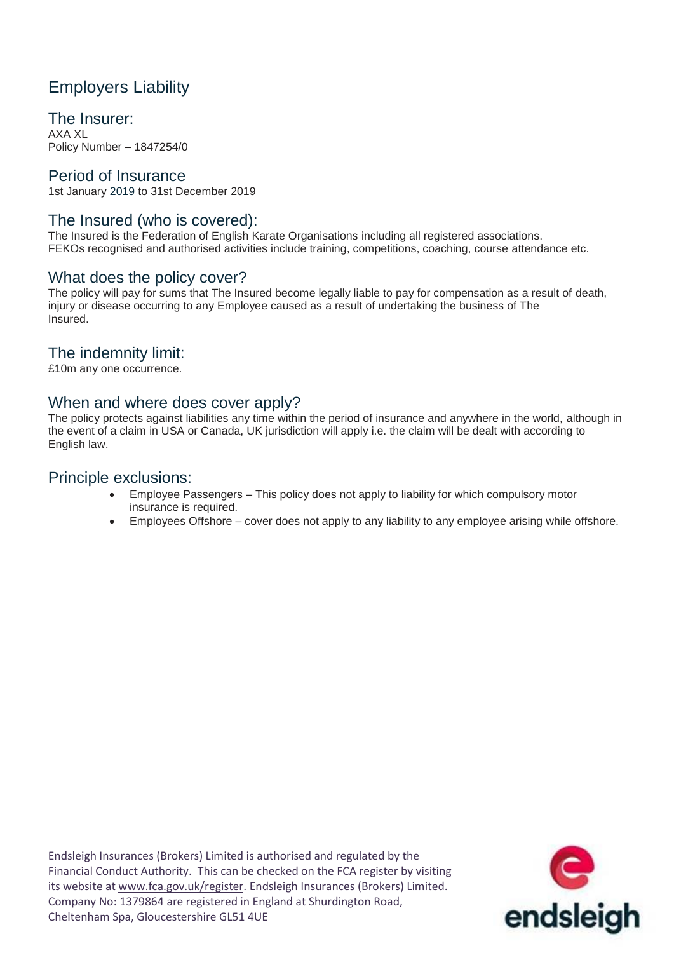# Employers Liability

The Insurer: AXA XL

Policy Number – 1847254/0

#### Period of Insurance

1st January 2019 to 31st December 2019

#### The Insured (who is covered):

The Insured is the Federation of English Karate Organisations including all registered associations. FEKOs recognised and authorised activities include training, competitions, coaching, course attendance etc.

#### What does the policy cover?

The policy will pay for sums that The Insured become legally liable to pay for compensation as a result of death, injury or disease occurring to any Employee caused as a result of undertaking the business of The Insured.

## The indemnity limit:

£10m any one occurrence.

#### When and where does cover apply?

The policy protects against liabilities any time within the period of insurance and anywhere in the world, although in the event of a claim in USA or Canada, UK jurisdiction will apply i.e. the claim will be dealt with according to English law.

#### Principle exclusions:

- Employee Passengers This policy does not apply to liability for which compulsory motor insurance is required.
- Employees Offshore cover does not apply to any liability to any employee arising while offshore.

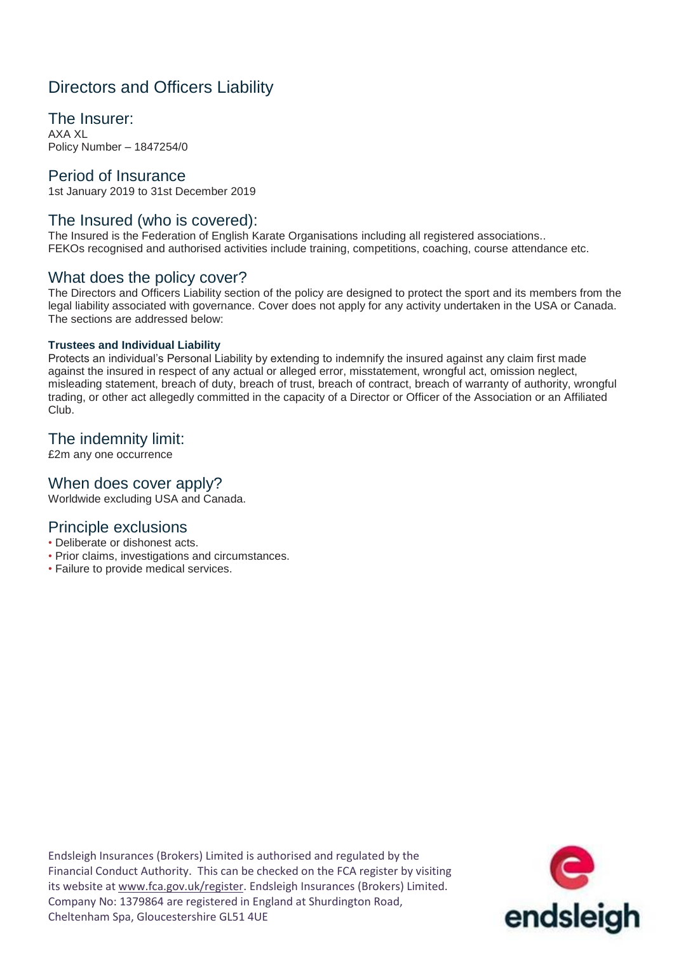# Directors and Officers Liability

The Insurer: AXA XL Policy Number – 1847254/0

#### Period of Insurance

1st January 2019 to 31st December 2019

#### The Insured (who is covered):

The Insured is the Federation of English Karate Organisations including all registered associations.. FEKOs recognised and authorised activities include training, competitions, coaching, course attendance etc.

#### What does the policy cover?

The Directors and Officers Liability section of the policy are designed to protect the sport and its members from the legal liability associated with governance. Cover does not apply for any activity undertaken in the USA or Canada. The sections are addressed below:

#### **Trustees and Individual Liability**

Protects an individual's Personal Liability by extending to indemnify the insured against any claim first made against the insured in respect of any actual or alleged error, misstatement, wrongful act, omission neglect, misleading statement, breach of duty, breach of trust, breach of contract, breach of warranty of authority, wrongful trading, or other act allegedly committed in the capacity of a Director or Officer of the Association or an Affiliated Club.

#### The indemnity limit:

£2m any one occurrence

#### When does cover apply?

Worldwide excluding USA and Canada.

### Principle exclusions

- Deliberate or dishonest acts.
- Prior claims, investigations and circumstances.
- Failure to provide medical services.

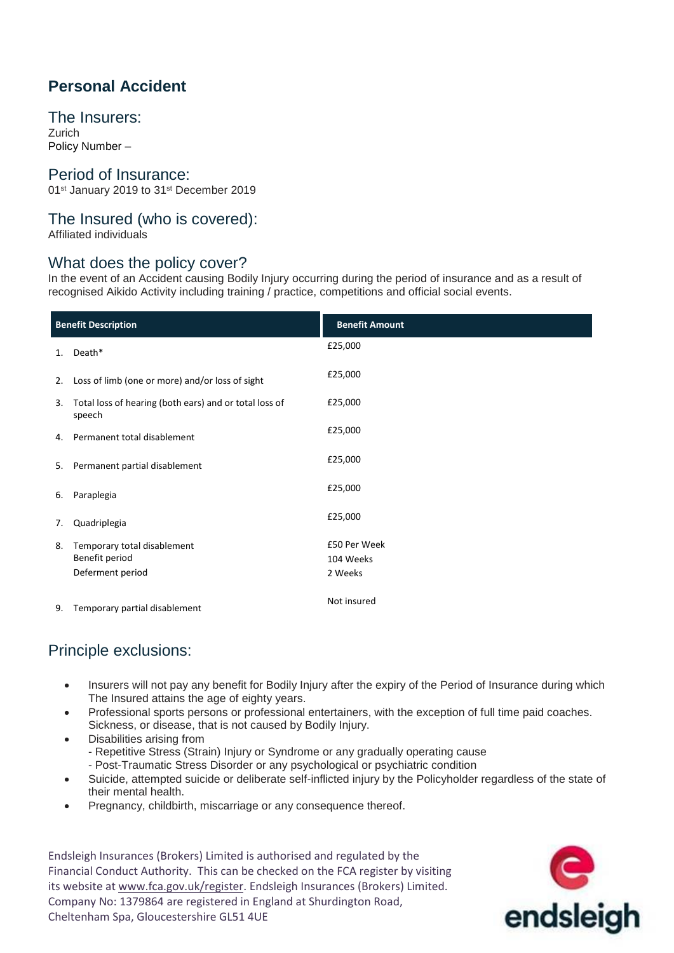# **Personal Accident**

The Insurers: Zurich

Policy Number –

#### Period of Insurance:

01<sup>st</sup> January 2019 to 31<sup>st</sup> December 2019

#### The Insured (who is covered):

Affiliated individuals

### What does the policy cover?

In the event of an Accident causing Bodily Injury occurring during the period of insurance and as a result of recognised Aikido Activity including training / practice, competitions and official social events.

| <b>Benefit Description</b> |                                                                   | <b>Benefit Amount</b>                |
|----------------------------|-------------------------------------------------------------------|--------------------------------------|
| 1.                         | Death*                                                            | £25,000                              |
| 2.                         | Loss of limb (one or more) and/or loss of sight                   | £25,000                              |
| 3.                         | Total loss of hearing (both ears) and or total loss of<br>speech  | £25,000                              |
| 4.                         | Permanent total disablement                                       | £25,000                              |
| 5.                         | Permanent partial disablement                                     | £25,000                              |
| 6.                         | Paraplegia                                                        | £25,000                              |
| 7.                         | Quadriplegia                                                      | £25,000                              |
| 8.                         | Temporary total disablement<br>Benefit period<br>Deferment period | £50 Per Week<br>104 Weeks<br>2 Weeks |
| 9.                         | Temporary partial disablement                                     | Not insured                          |

## Principle exclusions:

- Insurers will not pay any benefit for Bodily Injury after the expiry of the Period of Insurance during which The Insured attains the age of eighty years.
- Professional sports persons or professional entertainers, with the exception of full time paid coaches. Sickness, or disease, that is not caused by Bodily Injury.
- Disabilities arising from
	- Repetitive Stress (Strain) Injury or Syndrome or any gradually operating cause
	- Post-Traumatic Stress Disorder or any psychological or psychiatric condition
- Suicide, attempted suicide or deliberate self-inflicted injury by the Policyholder regardless of the state of their mental health.
- Pregnancy, childbirth, miscarriage or any consequence thereof.

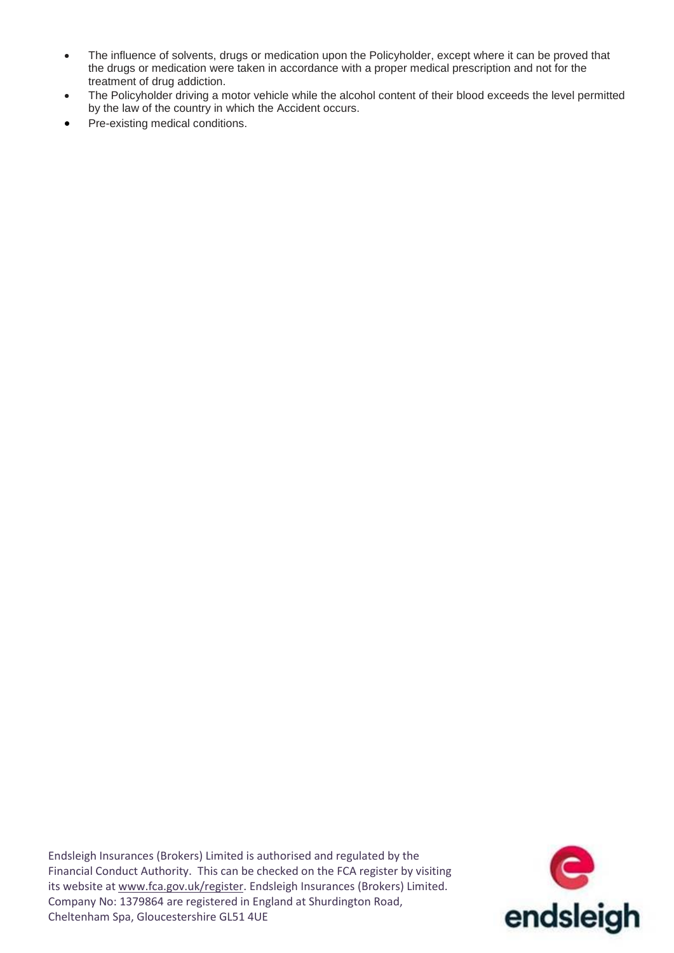- The influence of solvents, drugs or medication upon the Policyholder, except where it can be proved that the drugs or medication were taken in accordance with a proper medical prescription and not for the treatment of drug addiction.
- The Policyholder driving a motor vehicle while the alcohol content of their blood exceeds the level permitted by the law of the country in which the Accident occurs.
- Pre-existing medical conditions.

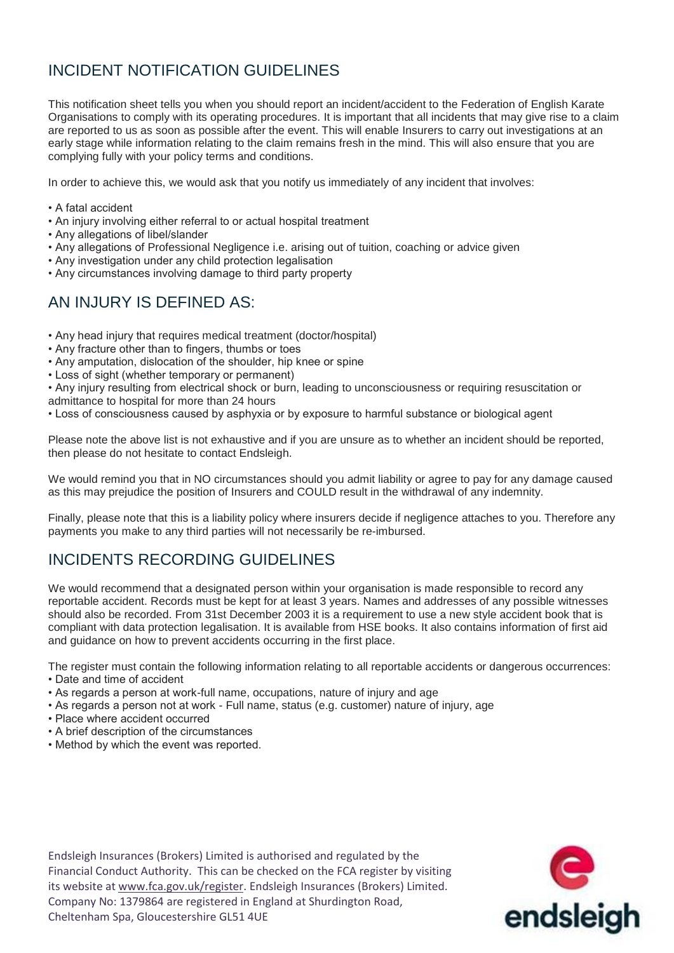# INCIDENT NOTIFICATION GUIDELINES

This notification sheet tells you when you should report an incident/accident to the Federation of English Karate Organisations to comply with its operating procedures. It is important that all incidents that may give rise to a claim are reported to us as soon as possible after the event. This will enable Insurers to carry out investigations at an early stage while information relating to the claim remains fresh in the mind. This will also ensure that you are complying fully with your policy terms and conditions.

In order to achieve this, we would ask that you notify us immediately of any incident that involves:

- A fatal accident
- An injury involving either referral to or actual hospital treatment
- Any allegations of libel/slander
- Any allegations of Professional Negligence i.e. arising out of tuition, coaching or advice given
- Any investigation under any child protection legalisation
- Any circumstances involving damage to third party property

## AN INJURY IS DEFINED AS:

- Any head injury that requires medical treatment (doctor/hospital)
- Any fracture other than to fingers, thumbs or toes
- Any amputation, dislocation of the shoulder, hip knee or spine
- Loss of sight (whether temporary or permanent)
- Any injury resulting from electrical shock or burn, leading to unconsciousness or requiring resuscitation or
- admittance to hospital for more than 24 hours
- Loss of consciousness caused by asphyxia or by exposure to harmful substance or biological agent

Please note the above list is not exhaustive and if you are unsure as to whether an incident should be reported, then please do not hesitate to contact Endsleigh.

We would remind you that in NO circumstances should you admit liability or agree to pay for any damage caused as this may prejudice the position of Insurers and COULD result in the withdrawal of any indemnity.

Finally, please note that this is a liability policy where insurers decide if negligence attaches to you. Therefore any payments you make to any third parties will not necessarily be re-imbursed.

## INCIDENTS RECORDING GUIDELINES

We would recommend that a designated person within your organisation is made responsible to record any reportable accident. Records must be kept for at least 3 years. Names and addresses of any possible witnesses should also be recorded. From 31st December 2003 it is a requirement to use a new style accident book that is compliant with data protection legalisation. It is available from HSE books. It also contains information of first aid and guidance on how to prevent accidents occurring in the first place.

The register must contain the following information relating to all reportable accidents or dangerous occurrences:

- Date and time of accident
- As regards a person at work-full name, occupations, nature of injury and age
- As regards a person not at work Full name, status (e.g. customer) nature of injury, age
- Place where accident occurred
- A brief description of the circumstances
- Method by which the event was reported.

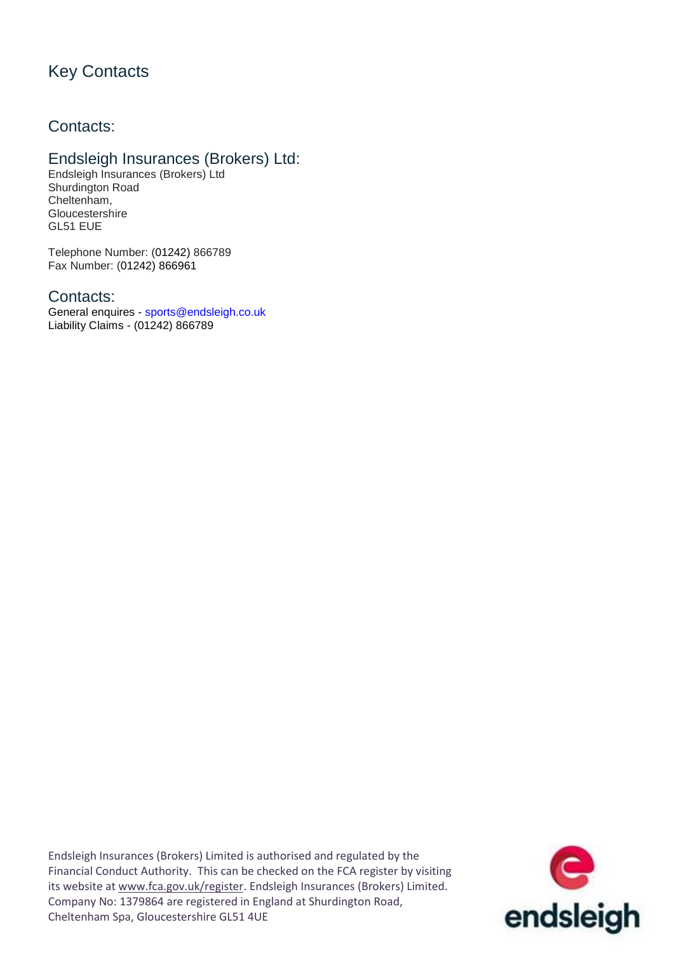# Key Contacts

## Contacts:

### Endsleigh Insurances (Brokers) Ltd:

Endsleigh Insurances (Brokers) Ltd Shurdington Road Cheltenham, **Gloucestershire** GL51 EUE

Telephone Number: (01242) 866789 Fax Number: (01242) 866961

#### Contacts:

General enquires - sports@endsleigh.co.uk Liability Claims - (01242) 866789